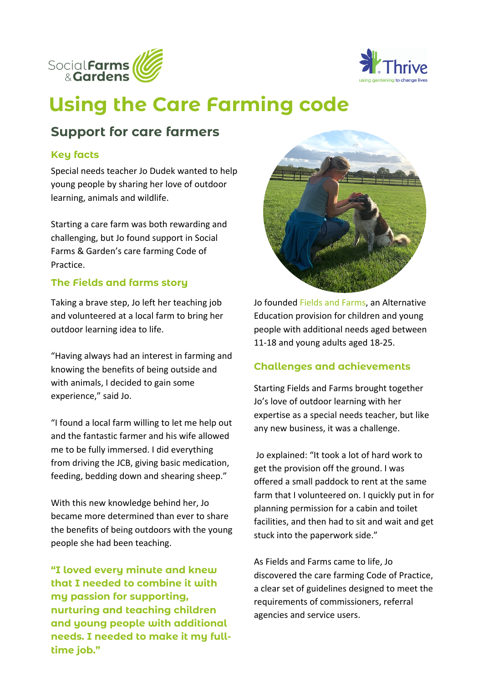



# **Using the Care Farming code**

## **Support for care farmers**

#### **Key facts**

Special needs teacher Jo Dudek wanted to help young people by sharing her love of outdoor learning, animals and wildlife.

Starting a care farm was both rewarding and challenging, but Jo found support in Social Farms & Garden's care farming Code of Practice.

### **The Fields and farms story**

Taking a brave step, Jo left her teaching job and volunteered at a local farm to bring her outdoor learning idea to life.

"Having always had an interest in farming and knowing the benefits of being outside and with animals, I decided to gain some experience," said Jo.

"I found a local farm willing to let me help out and the fantastic farmer and his wife allowed me to be fully immersed. I did everything from driving the JCB, giving basic medication, feeding, bedding down and shearing sheep."

With this new knowledge behind her, Jo became more determined than ever to share the benefits of being outdoors with the young people she had been teaching.

**"I loved every minute and knew that I needed to combine it with my passion for supporting, nurturing and teaching children and young people with additional needs. I needed to make it my fulltime job."**



Jo founded [Fields and Farms](https://fieldsandfarms.org.uk/), an Alternative Education provision for children and young people with additional needs aged between 11-18 and young adults aged 18-25.

### **Challenges and achievements**

Starting Fields and Farms brought together Jo's love of outdoor learning with her expertise as a special needs teacher, but like any new business, it was a challenge.

Jo explained: "It took a lot of hard work to get the provision off the ground. I was offered a small paddock to rent at the same farm that I volunteered on. I quickly put in for planning permission for a cabin and toilet facilities, and then had to sit and wait and get stuck into the paperwork side."

As Fields and Farms came to life, Jo discovered the care farming Code of Practice, a clear set of guidelines designed to meet the requirements of commissioners, referral agencies and service users.